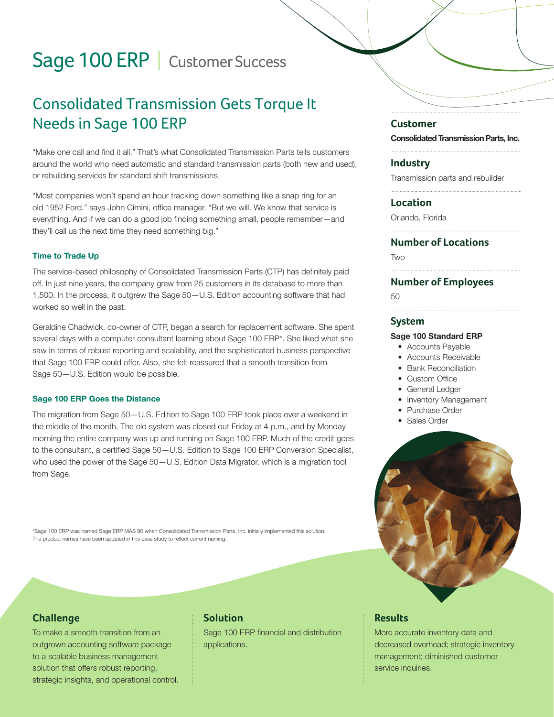# Sage 100 ERP | Customer Success

# Consolidated Transmission Gets Torque It Needs in Sage 100 ERP

"Make one call and find it all." That's what Consolidated Transmission Parts tells customers around the world who need automatic and standard transmission parts (both new and used), or rebuilding services for standard shift transmissions.

"Most companies won't spend an hour tracking down something like a snap ring for an old 1952 Ford," says John Cimini, office manager. "But we will. We know that service is everything. And if we can do a good job finding something small, people remember—and they'll call us the next time they need something big."

#### Time to Trade Up

The service-based philosophy of Consolidated Transmission Parts (CTP) has definitely paid off. In just nine years, the company grew from 25 customers in its database to more than 1,500. In the process, it outgrew the Sage 50—U.S. Edition accounting software that had worked so well in the past.

Geraldine Chadwick, co-owner of CTP, began a search for replacement software. She spent several days with a computer consultant learning about Sage 100 ERP\*. She liked what she saw in terms of robust reporting and scalability, and the sophisticated business perspective that Sage 100 ERP could offer. Also, she felt reassured that a smooth transition from Sage 50—U.S. Edition would be possible.

#### Sage 100 ERP Goes the Distance

The migration from Sage 50—U.S. Edition to Sage 100 ERP took place over a weekend in the middle of the month. The old system was closed out Friday at 4 p.m., and by Monday morning the entire company was up and running on Sage 100 ERP. Much of the credit goes to the consultant, a certified Sage 50—U.S. Edition to Sage 100 ERP Conversion Specialist, who used the power of the Sage 50—U.S. Edition Data Migrator, which is a migration tool from Sage.

\*Sage 100 ERP was named Sage ERP MAS 90 when Consolidated Transmission Parts, Inc. initially implemented this solution. The product names have been updated in this case study to reflect current naming.

### **Challenge**

To make a smooth transition from an outgrown accounting software package to a scalable business management solution that offers robust reporting, strategic insights, and operational control.

# **Solution**

Sage 100 ERP financial and distribution applications.

#### **Customer**

Consolidated Transmission Parts, Inc.

**Industry**

Transmission parts and rebuilder

#### **Location**

Orlando, Florida

#### **Number of Locations**

**TWO** 

#### **Number of Employees**

50

#### **System**

#### Sage 100 Standard ERP

- Accounts Payable
- Accounts Receivable
- Bank Reconciliation
- Custom Office
- General Ledger
- Inventory Management
- Purchase Order
- Sales Order



## **Results**

More accurate inventory data and decreased overhead; strategic inventory management; diminished customer service inquiries.